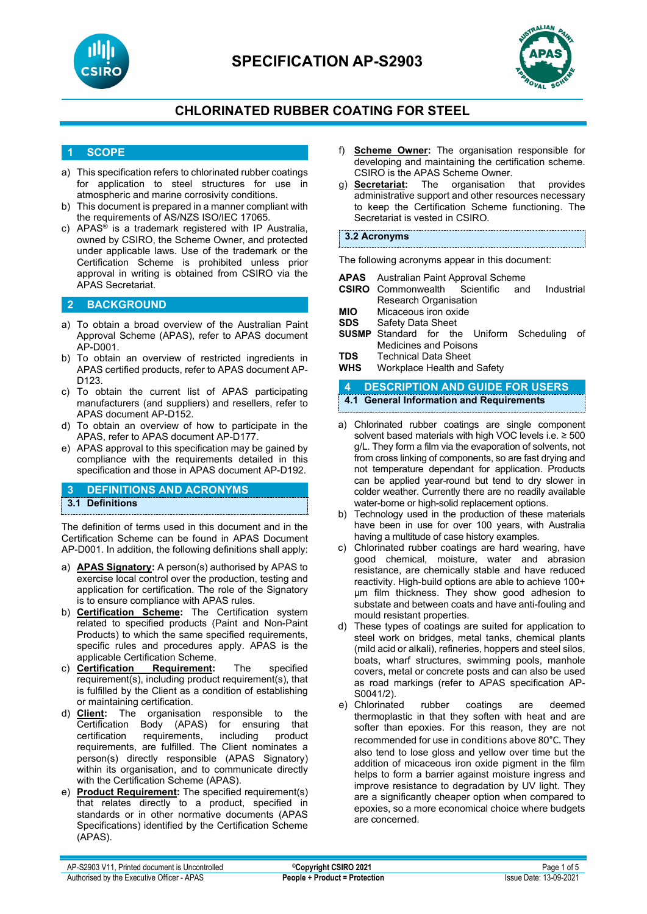



### **CHLORINATED RUBBER COATING FOR STEEL**

### **1 SCOPE**

- a) This specification refers to chlorinated rubber coatings for application to steel structures for use in atmospheric and marine corrosivity conditions.
- b) This document is prepared in a manner compliant with the requirements of AS/NZS ISO/IEC 17065.
- c) APAS® is a trademark registered with IP Australia, owned by CSIRO, the Scheme Owner, and protected under applicable laws. Use of the trademark or the Certification Scheme is prohibited unless prior approval in writing is obtained from CSIRO via the APAS Secretariat.

#### **2 BACKGROUND**

- a) To obtain a broad overview of the Australian Paint Approval Scheme (APAS), refer to APAS document AP-D001.
- b) To obtain an overview of restricted ingredients in APAS certified products, refer to APAS document AP-D<sub>123</sub>
- c) To obtain the current list of APAS participating manufacturers (and suppliers) and resellers, refer to APAS document AP-D152.
- d) To obtain an overview of how to participate in the APAS, refer to APAS document AP-D177.
- e) APAS approval to this specification may be gained by compliance with the requirements detailed in this specification and those in APAS document AP-D192.

#### **3 DEFINITIONS AND ACRONYMS 3.1 Definitions**

The definition of terms used in this document and in the Certification Scheme can be found in APAS Document AP-D001. In addition, the following definitions shall apply:

- a) **APAS Signatory:** A person(s) authorised by APAS to exercise local control over the production, testing and application for certification. The role of the Signatory is to ensure compliance with APAS rules.
- b) **Certification Scheme:** The Certification system related to specified products (Paint and Non-Paint Products) to which the same specified requirements, specific rules and procedures apply. APAS is the applicable Certification Scheme.
- c) **Certification Requirement:** The specified requirement(s), including product requirement(s), that is fulfilled by the Client as a condition of establishing or maintaining certification.<br>d) **Client:** The organisation
- **Client:** The organisation responsible to the Certification Body (APAS) for ensuring that (APAS) for ensuring certification requirements, including product requirements, are fulfilled. The Client nominates a person(s) directly responsible (APAS Signatory) within its organisation, and to communicate directly with the Certification Scheme (APAS).
- e) **Product Requirement:** The specified requirement(s) that relates directly to a product, specified in standards or in other normative documents (APAS Specifications) identified by the Certification Scheme (APAS).
- f) **Scheme Owner:** The organisation responsible for developing and maintaining the certification scheme. CSIRO is the APAS Scheme Owner.
- g) **Secretariat:** The organisation that provides administrative support and other resources necessary to keep the Certification Scheme functioning. The Secretariat is vested in CSIRO.

#### **3.2 Acronyms**

The following acronyms appear in this document:

|     | <b>APAS</b> Australian Paint Approval Scheme        |  |  |  |  |  |
|-----|-----------------------------------------------------|--|--|--|--|--|
|     | <b>CSIRO</b> Commonwealth Scientific and Industrial |  |  |  |  |  |
|     | <b>Research Organisation</b>                        |  |  |  |  |  |
| MIO | Micaceous iron ovide                                |  |  |  |  |  |

- **MIO** Micaceous iron oxidency MI**O** Safety Data Sheet **Safety Data Sheet**
- **SUSMP** Standard for the Uniform Scheduling of Medicines and Poisons
- **TDS** Technical Data Sheet<br>**WHS** Workplace Health and
- **Workplace Health and Safety**

### **4 DESCRIPTION AND GUIDE FOR USERS**

- **4.1 General Information and Requirements**
- a) Chlorinated rubber coatings are single component solvent based materials with high VOC levels i.e. ≥ 500 g/L. They form a film via the evaporation of solvents, not from cross linking of components, so are fast drying and not temperature dependant for application. Products can be applied year-round but tend to dry slower in colder weather. Currently there are no readily available water-borne or high-solid replacement options.
- b) Technology used in the production of these materials have been in use for over 100 years, with Australia having a multitude of case history examples.
- c) Chlorinated rubber coatings are hard wearing, have good chemical, moisture, water and abrasion resistance, are chemically stable and have reduced reactivity. High-build options are able to achieve 100+ µm film thickness. They show good adhesion to substate and between coats and have anti-fouling and mould resistant properties.
- d) These types of coatings are suited for application to steel work on bridges, metal tanks, chemical plants (mild acid or alkali), refineries, hoppers and steel silos, boats, wharf structures, swimming pools, manhole covers, metal or concrete posts and can also be used as road markings (refer to APAS specification AP-S0041/2).
- e) Chlorinated rubber coatings are deemed thermoplastic in that they soften with heat and are softer than epoxies. For this reason, they are not recommended for use in conditions above 80°C. They also tend to lose gloss and yellow over time but the addition of micaceous iron oxide pigment in the film helps to form a barrier against moisture ingress and improve resistance to degradation by UV light. They are a significantly cheaper option when compared to epoxies, so a more economical choice where budgets are concerned.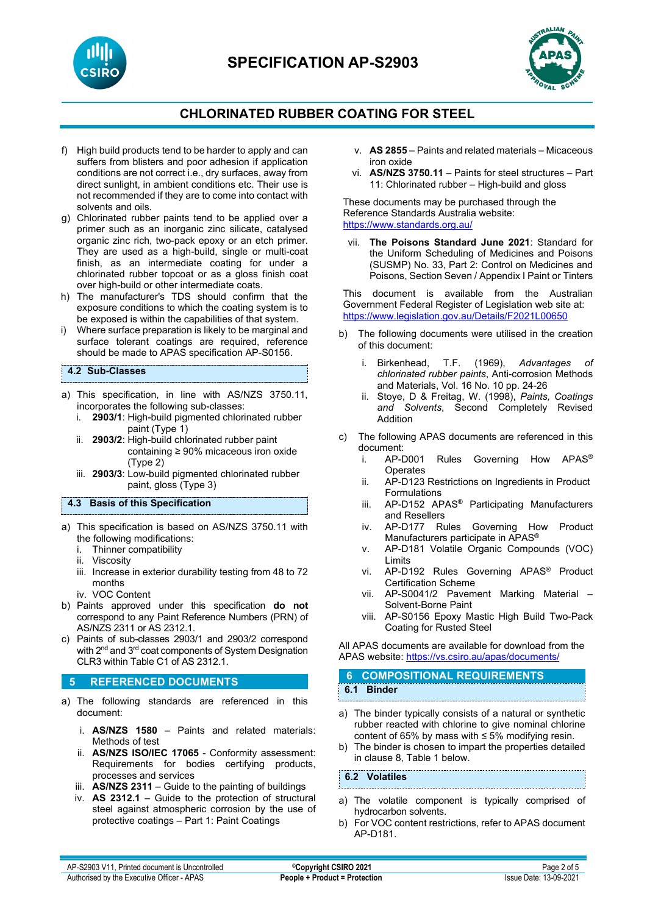

### **CHLORINATED RUBBER COATING FOR STEEL**

- f) High build products tend to be harder to apply and can suffers from blisters and poor adhesion if application conditions are not correct i.e., dry surfaces, away from direct sunlight, in ambient conditions etc. Their use is not recommended if they are to come into contact with solvents and oils.
- g) Chlorinated rubber paints tend to be applied over a primer such as an inorganic zinc silicate, catalysed organic zinc rich, two-pack epoxy or an etch primer. They are used as a high-build, single or multi-coat finish, as an intermediate coating for under a chlorinated rubber topcoat or as a gloss finish coat over high-build or other intermediate coats.
- h) The manufacturer's TDS should confirm that the exposure conditions to which the coating system is to be exposed is within the capabilities of that system.
- i) Where surface preparation is likely to be marginal and surface tolerant coatings are required, reference should be made to APAS specification AP-S0156.

#### **4.2 Sub-Classes**

- a) This specification, in line with AS/NZS 3750.11, incorporates the following sub-classes:
	- i. **2903/1**: High-build pigmented chlorinated rubber paint (Type 1)
	- ii. **2903/2**: High-build chlorinated rubber paint containing ≥ 90% micaceous iron oxide (Type 2)
	- iii. **2903/3**: Low-build pigmented chlorinated rubber paint, gloss (Type 3)

**4.3 Basis of this Specification**

- a) This specification is based on AS/NZS 3750.11 with the following modifications:
	- i. Thinner compatibility
	- ii. Viscosity
	- iii. Increase in exterior durability testing from 48 to 72 months
	- iv. VOC Content
- b) Paints approved under this specification **do not** correspond to any Paint Reference Numbers (PRN) of AS/NZS 2311 or AS 2312.1.
- c) Paints of sub-classes 2903/1 and 2903/2 correspond with  $2^{nd}$  and  $3^{rd}$  coat components of System Designation CLR3 within Table C1 of AS 2312.1.

#### **5 REFERENCED DOCUMENTS**

- a) The following standards are referenced in this document:
	- i. **AS/NZS 1580** Paints and related materials: Methods of test
	- ii. **AS/NZS ISO/IEC 17065** Conformity assessment: Requirements for bodies certifying products, processes and services
	- iii. **AS/NZS 2311**  Guide to the painting of buildings
	- iv. **AS 2312.1** Guide to the protection of structural steel against atmospheric corrosion by the use of protective coatings – Part 1: Paint Coatings
- v. **AS 2855**  Paints and related materials Micaceous iron oxide
- vi. **AS/NZS 3750.11** Paints for steel structures Part 11: Chlorinated rubber – High-build and gloss

These documents may be purchased through the Reference Standards Australia website: <https://www.standards.org.au/>

vii. **The Poisons Standard June 2021**: Standard for the Uniform Scheduling of Medicines and Poisons (SUSMP) No. 33, Part 2: Control on Medicines and Poisons, Section Seven / Appendix I Paint or Tinters

This document is available from the Australian Government Federal Register of Legislation web site at: <https://www.legislation.gov.au/Details/F2021L00650>

- b) The following documents were utilised in the creation of this document:
	- i. Birkenhead, T.F. (1969), *Advantages of chlorinated rubber paints*, Anti-corrosion Methods and Materials, Vol. 16 No. 10 pp. 24-26
	- ii. Stoye, D & Freitag, W. (1998), *Paints, Coatings and Solvents*, Second Completely Revised Addition
- c) The following APAS documents are referenced in this document:
	- AP-D001 Rules Governing How APAS<sup>®</sup> **Operates**
	- ii. AP-D123 Restrictions on Ingredients in Product Formulations
	- iii. AP-D152 APAS® Participating Manufacturers and Resellers
	- iv. AP-D177 Rules Governing How Product Manufacturers participate in APAS®
	- v. AP-D181 Volatile Organic Compounds (VOC) Limits
	- vi. AP-D192 Rules Governing APAS® Product Certification Scheme
	- vii. AP-S0041/2 Pavement Marking Material Solvent-Borne Paint
	- viii. AP-S0156 Epoxy Mastic High Build Two-Pack Coating for Rusted Steel

All APAS documents are available for download from the APAS website: <https://vs.csiro.au/apas/documents/>

## **6 COMPOSITIONAL REQUIREMENTS 6.1 Binder**

- a) The binder typically consists of a natural or synthetic rubber reacted with chlorine to give nominal chlorine content of 65% by mass with  $\leq$  5% modifying resin.
- b) The binder is chosen to impart the properties detailed in clause 8, Table 1 below.

**6.2 Volatiles**

- a) The volatile component is typically comprised of hydrocarbon solvents.
- b) For VOC content restrictions, refer to APAS document AP-D181.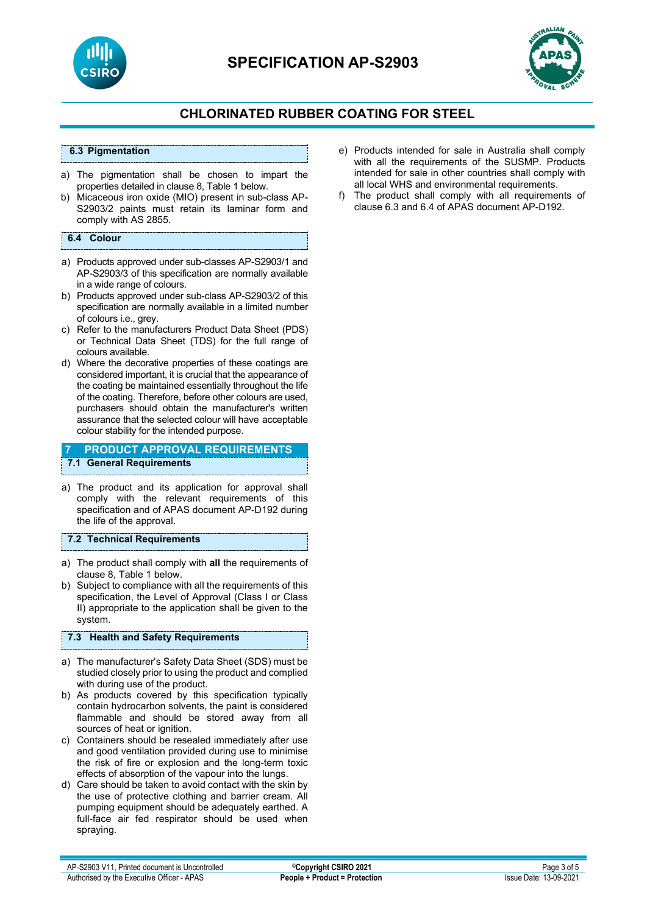



### **CHLORINATED RUBBER COATING FOR STEEL**

#### **6.3 Pigmentation**

- a) The pigmentation shall be chosen to impart the properties detailed in clause 8, Table 1 below.
- b) Micaceous iron oxide (MIO) present in sub-class AP-S2903/2 paints must retain its laminar form and comply with AS 2855.

#### **6.4 Colour**

- a) Products approved under sub-classes AP-S2903/1 and AP-S2903/3 of this specification are normally available in a wide range of colours.
- b) Products approved under sub-class AP-S2903/2 of this specification are normally available in a limited number of colours i.e., grey.
- c) Refer to the manufacturers Product Data Sheet (PDS) or Technical Data Sheet (TDS) for the full range of colours available.
- d) Where the decorative properties of these coatings are considered important, it is crucial that the appearance of the coating be maintained essentially throughout the life of the coating. Therefore, before other colours are used, purchasers should obtain the manufacturer's written assurance that the selected colour will have acceptable colour stability for the intended purpose.

#### **7 PRODUCT APPROVAL REQUIREMENTS 7.1 General Requirements**

a) The product and its application for approval shall comply with the relevant requirements of this specification and of APAS document AP-D192 during the life of the approval.

#### **7.2 Technical Requirements**

- a) The product shall comply with **all** the requirements of clause 8, Table 1 below.
- b) Subject to compliance with all the requirements of this specification, the Level of Approval (Class I or Class II) appropriate to the application shall be given to the system.

#### **7.3 Health and Safety Requirements**

- a) The manufacturer's Safety Data Sheet (SDS) must be studied closely prior to using the product and complied with during use of the product.
- b) As products covered by this specification typically contain hydrocarbon solvents, the paint is considered flammable and should be stored away from all sources of heat or ignition.
- c) Containers should be resealed immediately after use and good ventilation provided during use to minimise the risk of fire or explosion and the long-term toxic effects of absorption of the vapour into the lungs.
- d) Care should be taken to avoid contact with the skin by the use of protective clothing and barrier cream. All pumping equipment should be adequately earthed. A full-face air fed respirator should be used when spraying.
- e) Products intended for sale in Australia shall comply with all the requirements of the SUSMP. Products intended for sale in other countries shall comply with all local WHS and environmental requirements.
- f) The product shall comply with all requirements of clause 6.3 and 6.4 of APAS document AP-D192.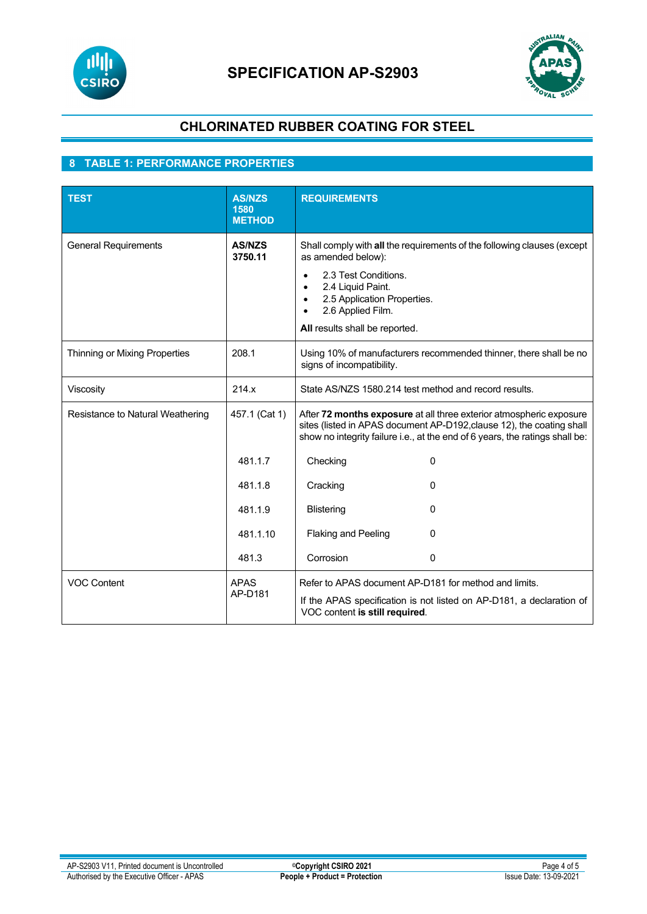



## **CHLORINATED RUBBER COATING FOR STEEL**

### **8 TABLE 1: PERFORMANCE PROPERTIES**

| <b>TEST</b>                      | <b>AS/NZS</b><br>1580<br><b>METHOD</b> | <b>REQUIREMENTS</b>                                                                                                                                                                                                                                                     |  |
|----------------------------------|----------------------------------------|-------------------------------------------------------------------------------------------------------------------------------------------------------------------------------------------------------------------------------------------------------------------------|--|
| <b>General Requirements</b>      | <b>AS/NZS</b><br>3750.11               | Shall comply with all the requirements of the following clauses (except<br>as amended below):<br>2.3 Test Conditions.<br>2.4 Liquid Paint.<br>$\bullet$<br>2.5 Application Properties.<br>$\bullet$<br>2.6 Applied Film.<br>$\bullet$<br>All results shall be reported. |  |
| Thinning or Mixing Properties    | 208.1                                  | Using 10% of manufacturers recommended thinner, there shall be no<br>signs of incompatibility.                                                                                                                                                                          |  |
| Viscosity                        | 214.x                                  | State AS/NZS 1580.214 test method and record results.                                                                                                                                                                                                                   |  |
| Resistance to Natural Weathering | 457.1 (Cat 1)                          | After 72 months exposure at all three exterior atmospheric exposure<br>sites (listed in APAS document AP-D192, clause 12), the coating shall<br>show no integrity failure i.e., at the end of 6 years, the ratings shall be:                                            |  |
|                                  | 481.1.7                                | 0<br>Checking                                                                                                                                                                                                                                                           |  |
|                                  | 481.1.8                                | Cracking<br>0                                                                                                                                                                                                                                                           |  |
|                                  | 481.1.9                                | <b>Blistering</b><br>0                                                                                                                                                                                                                                                  |  |
|                                  | 481.1.10                               | Flaking and Peeling<br>0                                                                                                                                                                                                                                                |  |
|                                  | 481.3                                  | Corrosion<br>0                                                                                                                                                                                                                                                          |  |
| <b>VOC Content</b>               | <b>APAS</b><br>AP-D181                 | Refer to APAS document AP-D181 for method and limits.<br>If the APAS specification is not listed on AP-D181, a declaration of<br>VOC content is still required.                                                                                                         |  |